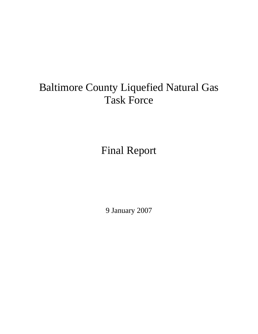# Baltimore County Liquefied Natural Gas Task Force

Final Report

9 January 2007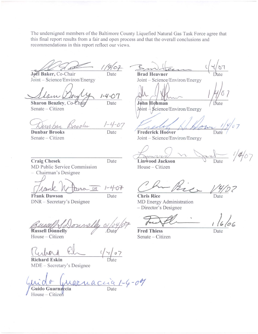The undersigned members of the Baltimore County Liquefied Natural Gas Task Force agree that this final report results from a fair and open process and that the overall conclusions and recommendations in this report reflect our views.

 $19/07$ Date

Jøel Baker, Co-Chair Joint - Science/Environ/Energy

MD Public Service Commission

Chairman's Designee

DNR - Secretary's Designee

 $1 - 4 - 07$ Date

Sharon Beazley, Co-Chaij Senate - Citizen

 $\frac{1-4-07}{\text{Date}}$ nophs

**Dunbar Brooks** Senate – Citizen

**Craig Chesek** 

**Frank Dawson** 

Date

Date

 $CM$ 

 $107$ **Brad Heavner** 

Joint - Science/Environ/Energy

John Hohman

 $J\phi$ int  $\frac{1}{2}$  Science/Environ/Energy

**Frederick Hoover** 

Joint - Science/Environ/Energy

 $1/4/07$ Linwood Jackson

House - Citizen

**Chris Rice** MD Energy Administration - Director's Designee

**Fred Thiess** Senate - Citizen

Date

**Russell Donnelly** House - Citizen

**Richard Eskin** MDE - Secretary's Designee

arnación 1-4-09

Guido Guarnaccia House - Citizen

 $\sigma$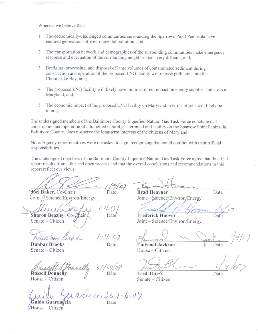Whereas we believe that:

- 1. The economically-challenged communities surrounding the Sparrows Point Peninsula have endured generations of environmental pollution, and;
- 2. The transportation network and demographics of the surrounding communities make emergency response and evacuation of the surrounding neighborhoods very difficult, and;
- 3. Dredging, processing, and disposal of large volumes of contaminated sediment during construction and operation of the proposed LNG facility will release pollutants into the Chesapeake Bay, and;
- 4. The proposed LNG facility will likely have minimal direct impact on energy supplies and costs in Maryland, and;
- 5. The economic impact of the proposed LNG facility on Maryland in terms of jobs will likely be minor:

The undersigned members of the Baltimore County Liquefied Natural Gas Task Force conclude that construction and operation of a liquefied natural gas terminal and facility on the Sparrow Point Peninsula. Baltimore County, does not serve the long-term interests of the citizens of Maryland.

Note: Agency representatives were not asked to sign, recognizing that could conflict with their official responsibilities.

The undersigned members of the Baltimore County Liquefied Natural Gas Task Force agree that this final report results from a fair and open process and that the overall conclusions and recommendations in this report reflect our views.

 $9/07$ **Joel Baker**, Co-Chair

 $\frac{\text{Joint}}{\text{J}}$ Science/Environ/Energy

Sharon Beazley, Co-Chair-Date

Senate - Citizen

**Dunbar Brooks** Senate - Citizen

**Russell Donnelly** 

Date

House - Citizen

 $4 - 04$ grucer

do Guarna<mark>c</mark>cia House - Citizen

**Brad Heavner** Joint – Serence/Environ/Energy

Date

**Frederick Hoover** Joint – Science/Environ/Energy

Linwood Jackson House - Citizen

Date

Date

Date

**Fred Thiess** Senate – Citizen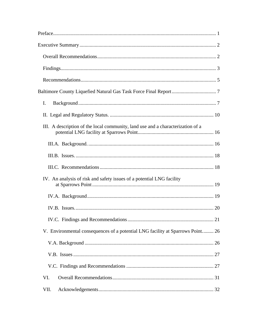| I.                                                                              |  |
|---------------------------------------------------------------------------------|--|
|                                                                                 |  |
| III. A description of the local community, land use and a characterization of a |  |
|                                                                                 |  |
|                                                                                 |  |
|                                                                                 |  |
| IV. An analysis of risk and safety issues of a potential LNG facility           |  |
|                                                                                 |  |
|                                                                                 |  |
|                                                                                 |  |
| V. Environmental consequences of a potential LNG facility at Sparrows Point 26  |  |
|                                                                                 |  |
|                                                                                 |  |
|                                                                                 |  |
| VI.                                                                             |  |
| VII.                                                                            |  |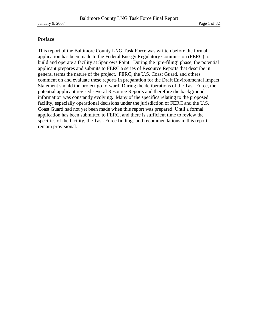# **Preface**

This report of the Baltimore County LNG Task Force was written before the formal application has been made to the Federal Energy Regulatory Commission (FERC) to build and operate a facility at Sparrows Point. During the 'pre-filing' phase, the potential applicant prepares and submits to FERC a series of Resource Reports that describe in general terms the nature of the project. FERC, the U.S. Coast Guard, and others comment on and evaluate these reports in preparation for the Draft Environmental Impact Statement should the project go forward. During the deliberations of the Task Force, the potential applicant revised several Resource Reports and therefore the background information was constantly evolving. Many of the specifics relating to the proposed facility, especially operational decisions under the jurisdiction of FERC and the U.S. Coast Guard had not yet been made when this report was prepared. Until a formal application has been submitted to FERC, and there is sufficient time to review the specifics of the facility, the Task Force findings and recommendations in this report remain provisional.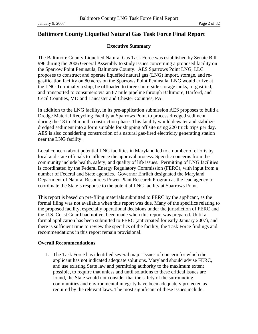# **Baltimore County Liquefied Natural Gas Task Force Final Report**

# **Executive Summary**

The Baltimore County Liquefied Natural Gas Task Force was established by Senate Bill 996 during the 2006 General Assembly to study issues concerning a proposed facility on the Sparrow Point Peninsula, Baltimore County. AES Sparrows Point LNG, LLC proposes to construct and operate liquefied natural gas (LNG) import, storage, and regasification facility on 80 acres on the Sparrows Point Peninsula. LNG would arrive at the LNG Terminal via ship, be offloaded to three shore-side storage tanks, re-gasified, and transported to consumers via an 87 mile pipeline through Baltimore, Harford, and Cecil Counties, MD and Lancaster and Chester Counties, PA.

In addition to the LNG facility, in its pre-application submission AES proposes to build a Dredge Material Recycling Facility at Sparrows Point to process dredged sediment during the 18 to 24 month construction phase. This facility would dewater and stabilize dredged sediment into a form suitable for shipping off site using 220 truck trips per day. AES is also considering construction of a natural gas-fired electricity generating station near the LNG facility.

Local concern about potential LNG facilities in Maryland led to a number of efforts by local and state officials to influence the approval process. Specific concerns from the community include health, safety, and quality of life issues. Permitting of LNG facilities is coordinated by the Federal Energy Regulatory Commission (FERC), with input from a number of Federal and State agencies. Governor Ehrlich designated the Maryland Department of Natural Resources Power Plant Research Program as the lead agency to coordinate the State's response to the potential LNG facility at Sparrows Point.

This report is based on pre-filing materials submitted to FERC by the applicant, as the formal filing was not available when this report was due. Many of the specifics relating to the proposed facility, especially operational decisions under the jurisdiction of FERC and the U.S. Coast Guard had not yet been made when this report was prepared. Until a formal application has been submitted to FERC (anticipated for early January 2007), and there is sufficient time to review the specifics of the facility, the Task Force findings and recommendations in this report remain provisional.

#### **Overall Recommendations**

1. The Task Force has identified several major issues of concern for which the applicant has not indicated adequate solutions. Maryland should advise FERC, and use existing State law and permitting authority to the maximum extent possible, to require that unless and until solutions to these critical issues are found, the State would not consider that the safety of the surrounding communities and environmental integrity have been adequately protected as required by the relevant laws. The most significant of these issues include: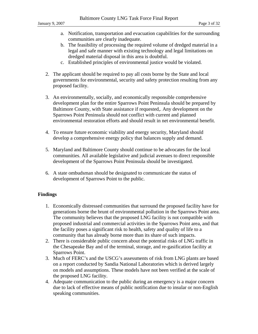- a. Notification, transportation and evacuation capabilities for the surrounding communities are clearly inadequate.
- b. The feasibility of processing the required volume of dredged material in a legal and safe manner with existing technology and legal limitations on dredged material disposal in this area is doubtful.
- c. Established principles of environmental justice would be violated.
- 2. The applicant should be required to pay all costs borne by the State and local governments for environmental, security and safety protection resulting from any proposed facility.
- 3. An environmentally, socially, and economically responsible comprehensive development plan for the entire Sparrows Point Peninsula should be prepared by Baltimore County, with State assistance if requested,. Any development on the Sparrows Point Peninsula should not conflict with current and planned environmental restoration efforts and should result in net environmental benefit.
- 4. To ensure future economic viability and energy security, Maryland should develop a comprehensive energy policy that balances supply and demand.
- 5. Maryland and Baltimore County should continue to be advocates for the local communities. All available legislative and judicial avenues to direct responsible development of the Sparrows Point Peninsula should be investigated.
- 6. A state ombudsman should be designated to communicate the status of development of Sparrows Point to the public.

# **Findings**

- 1. Economically distressed communities that surround the proposed facility have for generations borne the brunt of environmental pollution in the Sparrows Point area. The community believes that the proposed LNG facility is not compatible with proposed industrial and commercial activities in the Sparrows Point area, and that the facility poses a significant risk to health, safety and quality of life to a community that has already borne more than its share of such impacts.
- 2. There is considerable public concern about the potential risks of LNG traffic in the Chesapeake Bay and of the terminal, storage, and re-gasification facility at Sparrows Point.
- 3. Much of FERC's and the USCG's assessments of risk from LNG plants are based on a report conducted by Sandia National Laboratories which is derived largely on models and assumptions. These models have not been verified at the scale of the proposed LNG facility.
- 4. Adequate communication to the public during an emergency is a major concern due to lack of effective means of public notification due to insular or non-English speaking communities.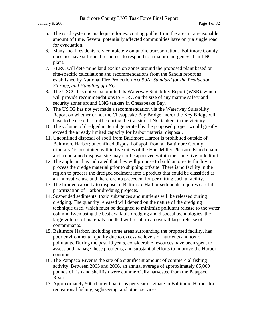- 5. The road system is inadequate for evacuating public from the area in a reasonable amount of time. Several potentially affected communities have only a single road for evacuation.
- 6. Many local residents rely completely on public transportation. Baltimore County does not have sufficient resources to respond to a major emergency at an LNG plant.
- 7. FERC will determine land exclusion zones around the proposed plant based on site-specific calculations and recommendations from the Sandia report as established by National Fire Protection Act 59A: *Standard for the Production, Storage, and Handling of LNG*.
- 8. The USCG has not yet submitted its Waterway Suitability Report (WSR), which will provide recommendations to FERC on the size of any marine safety and security zones around LNG tankers in Chesapeake Bay.
- 9. The USCG has not yet made a recommendation via the Waterway Suitability Report on whether or not the Chesapeake Bay Bridge and/or the Key Bridge will have to be closed to traffic during the transit of LNG tankers in the vicinity.
- 10. The volume of dredged material generated by the proposed project would greatly exceed the already limited capacity for harbor material disposal.
- 11. Unconfined disposal of spoil from Baltimore Harbor is prohibited outside of Baltimore Harbor; unconfined disposal of spoil from a "Baltimore County tributary" is prohibited within five miles of the Hart-Miller-Pleasure Island chain; and a contained disposal site may not be approved within the same five mile limit.
- 12. The applicant has indicated that they will propose to build an on-site facility to process the dredge material prior to shipping off-site. There is no facility in the region to process the dredged sediment into a product that could be classified as an innovative use and therefore no precedent for permitting such a facility.
- 13. The limited capacity to dispose of Baltimore Harbor sediments requires careful prioritization of Harbor dredging projects.
- 14. Suspended sediments, toxic substances and nutrients will be released during dredging. The quantity released will depend on the nature of the dredging technique used, which must be designed to minimize pollutant release to the water column. Even using the best available dredging and disposal technologies, the large volume of materials handled will result in an overall large release of contaminants.
- 15. Baltimore Harbor, including some areas surrounding the proposed facility, has poor environmental quality due to excessive levels of nutrients and toxic pollutants. During the past 10 years, considerable resources have been spent to assess and manage these problems, and substantial efforts to improve the Harbor continue.
- 16. The Patapsco River is the site of a significant amount of commercial fishing activity. Between 2003 and 2006, an annual average of approximately 85,000 pounds of fish and shellfish were commercially harvested from the Patapsco River.
- 17. Approximately 500 charter boat trips per year originate in Baltimore Harbor for recreational fishing, sightseeing, and other services.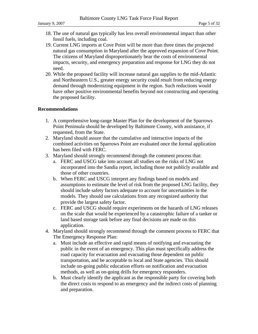- 18. The use of natural gas typically has less overall environmental impact than other fossil fuels, including coal.
- 19. Current LNG imports at Cove Point will be more than three times the projected natural gas consumption in Maryland after the approved expansion of Cove Point. The citizens of Maryland disproportionately bear the costs of environmental impacts, security, and emergency preparation and response for LNG they do not need.
- 20. While the proposed facility will increase natural gas supplies to the mid-Atlantic and Northeastern U.S., greater energy security could result from reducing energy demand through modernizing equipment in the region. Such reductions would have other positive environmental benefits beyond not constructing and operating the proposed facility.

# **Recommendations**

- 1. A comprehensive long-range Master Plan for the development of the Sparrows Point Peninsula should be developed by Baltimore County, with assistance, if requested, from the State.
- 2. Maryland should assure that the cumulative and interactive impacts of the combined activities on Sparrows Point are evaluated once the formal application has been filed with FERC.
- 3. Maryland should strongly recommend through the comment process that:
	- a. FERC and USCG take into account all studies on the risks of LNG not incorporated into the Sandia report, including those not publicly available and those of other countries.
	- b. When FERC and USCG interpret any findings based on models and assumptions to estimate the level of risk from the proposed LNG facility, they should include safety factors adequate to account for uncertainties in the models. They should use calculations from any recognized authority that provide the largest safety factor.
	- c. FERC and USCG should require experiments on the hazards of LNG releases on the scale that would be experienced by a catastrophic failure of a tanker or land based storage tank before any final decisions are made on this application.
- 4. Maryland should strongly recommend through the comment process to FERC that The Emergency Response Plan:
	- a. Must include an effective and rapid means of notifying and evacuating the public in the event of an emergency. This plan must specifically address the road capacity for evacuation and evacuating those dependent on public transportation, and be acceptable to local and State agencies. This should include on-going public education efforts on notification and evacuation methods, as well as on-going drills for emergency responders.
	- b. Must clearly identify the applicant as the responsible party for covering both the direct costs to respond to an emergency and the indirect costs of planning and preparation.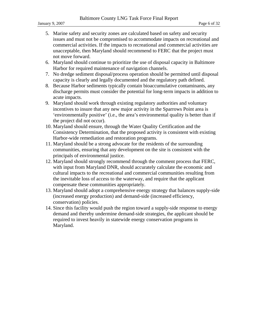- 5. Marine safety and security zones are calculated based on safety and security issues and must not be compromised to accommodate impacts on recreational and commercial activities. If the impacts to recreational and commercial activities are unacceptable, then Maryland should recommend to FERC that the project must not move forward.
- 6. Maryland should continue to prioritize the use of disposal capacity in Baltimore Harbor for required maintenance of navigation channels.
- 7. No dredge sediment disposal/process operation should be permitted until disposal capacity is clearly and legally documented and the regulatory path defined.
- 8. Because Harbor sediments typically contain bioaccumulative contaminants, any discharge permits must consider the potential for long-term impacts in addition to acute impacts.
- 9. Maryland should work through existing regulatory authorities and voluntary incentives to insure that any new major activity in the Sparrows Point area is 'environmentally positive' (i.e., the area's environmental quality is better than if the project did not occur).
- 10. Maryland should ensure, through the Water Quality Certification and the Consistency Determination, that the proposed activity is consistent with existing Harbor-wide remediation and restoration programs.
- 11. Maryland should be a strong advocate for the residents of the surrounding communities, ensuring that any development on the site is consistent with the principals of environmental justice.
- 12. Maryland should strongly recommend through the comment process that FERC, with input from Maryland DNR, should accurately calculate the economic and cultural impacts to the recreational and commercial communities resulting from the inevitable loss of access to the waterway, and require that the applicant compensate these communities appropriately.
- 13. Maryland should adopt a comprehensive energy strategy that balances supply-side (increased energy production) and demand-side (increased efficiency, conservation) policies.
- 14. Since this facility would push the region toward a supply-side response to energy demand and thereby undermine demand-side strategies, the applicant should be required to invest heavily in statewide energy conservation programs in Maryland.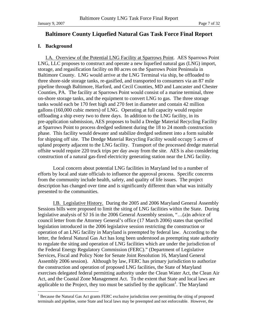# **Baltimore County Liquefied Natural Gas Task Force Final Report**

#### **I. Background**

I.A. Overview of the Potential LNG Facility at Sparrows Point. AES Sparrows Point LNG, LLC proposes to construct and operate a new liquefied natural gas (LNG) import, storage, and regasification facility on 80 acres on the Sparrows Point Peninsula in Baltimore County. LNG would arrive at the LNG Terminal via ship, be offloaded to three shore-side storage tanks, re-gasified, and transported to consumers via an 87 mile pipeline through Baltimore, Harford, and Cecil Counties, MD and Lancaster and Chester Counties, PA. The facility at Sparrows Point would consist of a marine terminal, three on-shore storage tanks, and the equipment to convert LNG to gas. The three storage tanks would each be 170 feet high and 270 feet in diameter and contain 42 million gallons (160,000 cubic meters) of LNG. Operating at full capacity would require offloading a ship every two to three days. In addition to the LNG facility, in its pre-application submission, AES proposes to build a Dredge Material Recycling Facility at Sparrows Point to process dredged sediment during the 18 to 24 month construction phase. This facility would dewater and stabilize dredged sediment into a form suitable for shipping off site. The Dredge Material Recycling Facility would occupy 5 acres of upland property adjacent to the LNG facility. Transport of the processed dredge material offsite would require 220 truck trips per day away from the site. AES is also considering construction of a natural gas-fired electricity generating station near the LNG facility.

Local concern about potential LNG facilities in Maryland led to a number of efforts by local and state officials to influence the approval process. Specific concerns from the community include health, safety, and quality of life issues. The project description has changed over time and is significantly different than what was initially presented to the communities.

I.B. Legislative History. During the 2005 and 2006 Maryland General Assembly Sessions bills were proposed to limit the siting of LNG facilities within the State. During legislative analysis of SJ 16 in the 2006 General Assembly session, "…(a)n advice of council letter from the Attorney General's office (17 March 2006) states that specified legislation introduced in the 2006 legislative session restricting the construction or operation of an LNG facility in Maryland is preempted by federal law. According to the letter, the federal Natural Gas Act has long been understood as preempting state authority to regulate the siting and operation of LNG facilities which are under the jurisdiction of the Federal Energy Regulatory Commission (FERC)." (Department of Legislative Services, Fiscal and Policy Note for Senate Joint Resolution 16, Maryland General Assembly 2006 session). Although by law, FERC has primary jurisdiction to authorize the construction and operation of proposed LNG facilities, the State of Maryland exercises delegated federal permitting authority under the Clean Water Act, the Clean Air Act, and the Coastal Zone Management Act. To the extent that State and local laws are applicable to the Project, they too must be satisfied by the applicant<sup>1</sup>. The Maryland

<sup>&</sup>lt;sup>1</sup> Because the Natural Gas Act grants FERC exclusive jurisdiction over permitting the siting of proposed terminals and pipeline, some State and local laws may be preempted and not enforceable. However, the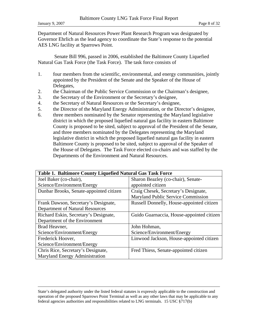Department of Natural Resources Power Plant Research Program was designated by Governor Ehrlich as the lead agency to coordinate the State's response to the potential AES LNG facility at Sparrows Point.

 Senate Bill 996, passed in 2006, established the Baltimore County Liquefied Natural Gas Task Force (the Task Force). The task force consists of

- 1. four members from the scientific, environmental, and energy communities, jointly appointed by the President of the Senate and the Speaker of the House of Delegates,
- 2. the Chairman of the Public Service Commission or the Chairman's designee,
- 3. the Secretary of the Environment or the Secretary's designee,
- 4. the Secretary of Natural Resources or the Secretary's designee,
- 5. the Director of the Maryland Energy Administration, or the Director's designee,
- 6. three members nominated by the Senator representing the Maryland legislative district in which the proposed liquefied natural gas facility in eastern Baltimore County is proposed to be sited, subject to approval of the President of the Senate, and three members nominated by the Delegates representing the Maryland legislative district in which the proposed liquefied natural gas facility in eastern Baltimore County is proposed to be sited, subject to approval of the Speaker of the House of Delegates. The Task Force elected co-chairs and was staffed by the Departments of the Environment and Natural Resources.

| Table 1. Baltimore County Liquefied Natural Gas Task Force |                                           |  |  |  |  |
|------------------------------------------------------------|-------------------------------------------|--|--|--|--|
| Joel Baker (co-chair),                                     | Sharon Beazley (co-chair), Senate-        |  |  |  |  |
| Science/Environment/Energy                                 | appointed citizen                         |  |  |  |  |
| Dunbar Brooks, Senate-appointed citizen                    | Craig Chesek, Secretary's Designate,      |  |  |  |  |
|                                                            | Maryland Public Service Commission        |  |  |  |  |
| Frank Dawson, Secretary's Designate,                       | Russell Donnelly, House-appointed citizen |  |  |  |  |
| <b>Department of Natural Resources</b>                     |                                           |  |  |  |  |
| Richard Eskin, Secretary's Designate,                      | Guido Guarnaccia, House-appointed citizen |  |  |  |  |
| Department of the Environment                              |                                           |  |  |  |  |
| Brad Heavner,                                              | John Hohman,                              |  |  |  |  |
| Science/Environment/Energy                                 | Science/Environment/Energy                |  |  |  |  |
| Frederick Hoover,                                          | Linwood Jackson, House-appointed citizen  |  |  |  |  |
| Science/Environment/Energy                                 |                                           |  |  |  |  |
| Chris Rice, Secretary's Designate,                         | Fred Thiess, Senate-appointed citizen     |  |  |  |  |
| Maryland Energy Administration                             |                                           |  |  |  |  |

State's delegated authority under the listed federal statutes is expressly applicable to the construction and operation of the proposed Sparrows Point Terminal as well as any other laws that may be applicable to any federal agencies authorities and responsibilities related to LNG terminals. 15 USC §717(b)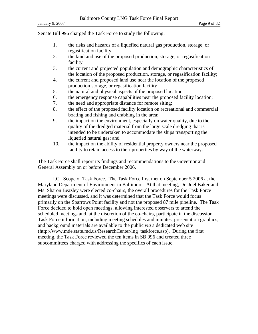Senate Bill 996 charged the Task Force to study the following:

- 1. the risks and hazards of a liquefied natural gas production, storage, or regasification facility;
- 2. the kind and use of the proposed production, storage, or regasification facility
- 3. the current and projected population and demographic characteristics of the location of the proposed production, storage, or regasification facility;
- 4. the current and proposed land use near the location of the proposed production storage, or regasification facility
- 5. the natural and physical aspects of the proposed location
- 6. the emergency response capabilities near the proposed facility location;
- 7. the need and appropriate distance for remote siting;
- 8. the effect of the proposed facility location on recreational and commercial boating and fishing and crabbing in the area;
- 9. the impact on the environment, especially on water quality, due to the quality of the dredged material from the large scale dredging that is intended to be undertaken to accommodate the ships transporting the liquefied natural gas; and
- 10. the impact on the ability of residential property owners near the proposed facility to retain access to their properties by way of the waterway.

The Task Force shall report its findings and recommendations to the Governor and General Assembly on or before December 2006.

I.C. Scope of Task Force. The Task Force first met on September 5 2006 at the Maryland Department of Environment in Baltimore. At that meeting, Dr. Joel Baker and Ms. Sharon Beazley were elected co-chairs, the overall procedures for the Task Force meetings were discussed, and it was determined that the Task Force would focus primarily on the Sparrows Point facility and not the proposed 87 mile pipeline. The Task Force decided to hold open meetings, allowing interested observers to attend the scheduled meetings and, at the discretion of the co-chairs, participate in the discussion. Task Force information, including meeting schedules and minutes, presentation graphics, and background materials are available to the public *via* a dedicated web site (http://www.mde.state.md.us/ResearchCenter/lng\_taskforce.asp). During the first meeting, the Task Force reviewed the ten items in SB 996 and created three subcommittees charged with addressing the specifics of each issue.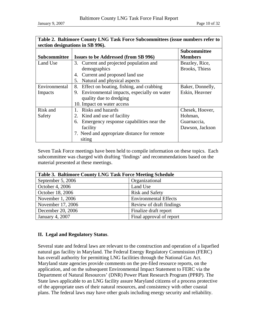January 9, 2007 Page 10 of 32

| Table 2. Baltimore County LNG Task Force Subcommittees (issue numbers refer to |                                                  |                     |  |  |  |  |  |
|--------------------------------------------------------------------------------|--------------------------------------------------|---------------------|--|--|--|--|--|
| section designations in SB 996).                                               |                                                  |                     |  |  |  |  |  |
|                                                                                |                                                  | <b>Subcommittee</b> |  |  |  |  |  |
| <b>Subcommittee</b>                                                            | <b>Issues to be Addressed (from SB 996)</b>      | <b>Members</b>      |  |  |  |  |  |
| Land Use                                                                       | 3. Current and projected population and          | Beazley, Rice,      |  |  |  |  |  |
|                                                                                | demographics                                     | Brooks, Thiess      |  |  |  |  |  |
|                                                                                | Current and proposed land use<br>4.              |                     |  |  |  |  |  |
|                                                                                | Natural and physical aspects<br>5.               |                     |  |  |  |  |  |
| Environmental                                                                  | Effect on boating, fishing, and crabbing<br>8.   | Baker, Donnelly,    |  |  |  |  |  |
| Impacts                                                                        | Environmental impacts, especially on water<br>9. | Eskin, Heavner      |  |  |  |  |  |
|                                                                                | quality due to dredging                          |                     |  |  |  |  |  |
|                                                                                | 10. Impact on water access                       |                     |  |  |  |  |  |
| Risk and                                                                       | Risks and hazards<br>$1_{-}$                     | Chesek, Hoover,     |  |  |  |  |  |
| Safety                                                                         | 2. Kind and use of facility                      | Hohman,             |  |  |  |  |  |
|                                                                                | Emergency response capabilities near the<br>6.   | Guarnaccia,         |  |  |  |  |  |
|                                                                                | facility                                         | Dawson, Jackson     |  |  |  |  |  |
|                                                                                | 7. Need and appropriate distance for remote      |                     |  |  |  |  |  |
|                                                                                | siting                                           |                     |  |  |  |  |  |

Seven Task Force meetings have been held to compile information on these topics. Each subcommittee was charged with drafting 'findings' and recommendations based on the material presented at these meetings.

| <b>Table 3. Baltimore County LNG Task Force Meeting Schedule</b> |                              |  |  |  |
|------------------------------------------------------------------|------------------------------|--|--|--|
| September 5, 2006                                                | Organizational               |  |  |  |
| October 4, 2006                                                  | Land Use                     |  |  |  |
| October 18, 2006                                                 | <b>Risk and Safety</b>       |  |  |  |
| November 1, 2006                                                 | <b>Environmental Effects</b> |  |  |  |
| November 17, 2006                                                | Review of draft findings     |  |  |  |
| December 20, 2006                                                | Finalize draft report        |  |  |  |
| January 4, 2007                                                  | Final approval of report     |  |  |  |

# **II. Legal and Regulatory Status**.

Several state and federal laws are relevant to the construction and operation of a liquefied natural gas facility in Maryland. The Federal Energy Regulatory Commission (FERC) has overall authority for permitting LNG facilities through the National Gas Act. Maryland state agencies provide comments on the pre-filed resource reports, on the application, and on the subsequent Environmental Impact Statement to FERC via the Department of Natural Resources' (DNR) Power Plant Research Program (PPRP). The State laws applicable to an LNG facility assure Maryland citizens of a process protective of the appropriate uses of their natural resources, and consistency with other coastal plans. The federal laws may have other goals including energy security and reliability.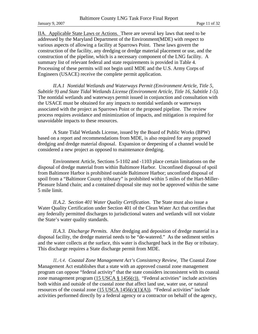January 9, 2007 Page 11 of 32

IIA. Applicable State Laws or Actions. There are several key laws that need to be addressed by the Maryland Department of the Environment(MDE) with respect to various aspects of allowing a facility at Sparrows Point. These laws govern the construction of the facility, any dredging or dredge material placement or use, and the construction of the pipeline, which is a necessary component of the LNG facility. A summary list of relevant federal and state requirements is provided in Table 4. Processing of these permits will not begin until MDE and the U.S. Army Corps of Engineers (USACE) receive the complete permit application.

*II.A.1 Nontidal Wetlands and Waterways Permit (Environment Article, Title 5, Subtitle 9) and State Tidal Wetlands License (Environment Article, Title 16, Subtitle 1-5).* The nontidal wetlands and waterways permit issued in conjunction and consultation with the USACE must be obtained for any impacts to nontidal wetlands or waterways associated with the project as Sparrows Point or the proposed pipeline. The review process requires avoidance and minimization of impacts, and mitigation is required for unavoidable impacts to these resources.

 A State Tidal Wetlands License, issued by the Board of Public Works (BPW) based on a report and recommendations from MDE, is also required for any proposed dredging and dredge material disposal. Expansion or deepening of a channel would be considered a new project as opposed to maintenance dredging.

 Environment Article, Sections 5-1102 and -1103 place certain limitations on the disposal of dredge material from within Baltimore Harbor. Unconfined disposal of spoil from Baltimore Harbor is prohibited outside Baltimore Harbor; unconfined disposal of spoil from a "Baltimore County tributary" is prohibited within 5 miles of the Hart-Miller-Pleasure Island chain; and a contained disposal site may not be approved within the same 5 mile limit.

*II.A.2. Section 401 Water Quality Certification*. The State must also issue a Water Quality Certification under Section 401 of the Clean Water Act that certifies that any federally permitted discharges to jurisdictional waters and wetlands will not violate the State's water quality standards.

*II.A.3. Discharge Permits.* After dredging and deposition of dredge material in a disposal facility, the dredge material needs to be "de-watered." As the sediment settles and the water collects at the surface, this water is discharged back in the Bay or tributary. This discharge requires a State discharge permit from MDE.

*II.A.4. Coastal Zone Management Act's Consistency Review*. The Coastal Zone Management Act establishes that a state with an approved coastal zone management program can oppose "federal activity" that the state considers inconsistent with its coastal zone management program  $(15 \text{ USCA} \text{ § } 1456(c))$ . "Federal activities" include activities both within and outside of the coastal zone that affect land use, water use, or natural resources of the coastal zone  $(15 \text{ USA} 1456(c)(1)(A))$ . "Federal activities" include activities performed directly by a federal agency or a contractor on behalf of the agency,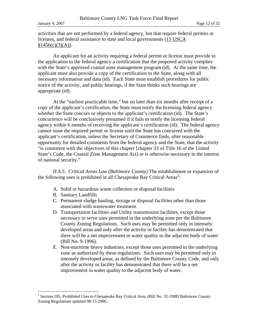activities that are not performed by a federal agency, but that require federal permits or licenses, and federal assistance to state and local governments (15 USCA  $§1456(c)(3)(A)).$ 

 An applicant for an activity requiring a federal permit or license must provide in the application to the federal agency a certification that the proposed activity complies with the State's approved coastal zone management program (id). At the same time, the applicant must also provide a copy of the certification to the State, along with all necessary information and data (id). Each State must establish procedures for public notice of the activity, and public hearings, if the State thinks such hearings are appropriate (id).

 At the "earliest practicable time," but no later than six months after receipt of a copy of the applicant's certification, the State must notify the licensing federal agency whether the State concurs or objects to the applicant's certification (id). The State's concurrence will be conclusively presumed if it fails to notify the licensing federal agency within 6 months of receiving the applicant's certification (id). The federal agency cannot issue the required permit or license until the State has concurred with the applicant's certification, unless the Secretary of Commerce finds, after reasonable opportunity for detailed comments from the federal agency and the State, that the activity "is consistent with the objectives of this chapter [chapter 33 of Title 16 of the United State's Code, the Coastal Zone Management Act] or is otherwise necessary in the interest of national security."

*II.A.5. Critical Areas Law (Baltimore County)* The establishment or expansion of the following uses is prohibited in all Chesapeake Bay Critical Areas<sup>2</sup>:

- A. Solid or hazardous waste collection or disposal facilities
- B. Sanitary Landfills

 $\overline{a}$ 

- C. Permanent sludge hauling, storage or disposal facilities other than those associated with wastewater treatment.
- D. Transportation facilities and Utility transmission facilities, except those necessary to serve uses permitted in the underlying zone per the Baltimore County Zoning Regulations. Such uses may be permitted only in intensely developed areas and only after the activity or facility has demonstrated that there will be a net improvement in water quality to the adjacent body of water (Bill No. 9-1996).
- E. Non-maritime heavy industries, except those uses permitted in the underlying zone as authorized by these regulations. Such uses may be permitted only in intensely developed areas, as defined by the Baltimore County Code, and only after the activity or facility has demonstrated that there will be a net improvement in water quality to the adjacent body of water.

 $2^2$  Section 105, Prohibited Uses in Chesapeake Bay Critical Area, (Bill No. 32-1988) Baltimore County Zoning Regulations updated 08-15-2006.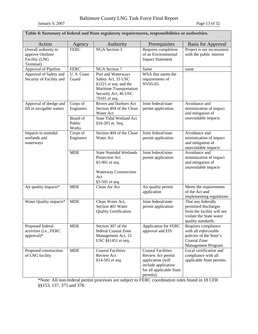January 9, 2007 Page 13 of 32

| Table 4: Summary of federal and State regulatory requirements, responsibilities or authorities. |                                                                                                                                                                                                                                   |                                                                                                                                       |                                                                                                                                    |                                                                                                                           |  |
|-------------------------------------------------------------------------------------------------|-----------------------------------------------------------------------------------------------------------------------------------------------------------------------------------------------------------------------------------|---------------------------------------------------------------------------------------------------------------------------------------|------------------------------------------------------------------------------------------------------------------------------------|---------------------------------------------------------------------------------------------------------------------------|--|
| Action                                                                                          | Agency                                                                                                                                                                                                                            | Authority                                                                                                                             | Prerequisites                                                                                                                      | <b>Basis for Approval</b>                                                                                                 |  |
| Overall authority to<br>approve Onshore<br>Facility (LNG<br>Terminal)                           | <b>FERC</b>                                                                                                                                                                                                                       | <b>NGA</b> Section 3                                                                                                                  | Requires completion<br>of an Environmental<br><b>Impact Statement</b>                                                              | Project is not inconsistent<br>with the public interest                                                                   |  |
| Approval of Pipeline                                                                            | <b>FERC</b>                                                                                                                                                                                                                       | NGA Section 7                                                                                                                         | Same                                                                                                                               | same                                                                                                                      |  |
| Approval of Safety and<br>Security of Facility and                                              | U.S. Coast<br>Guard                                                                                                                                                                                                               | Port and Waterways<br>Safety Act, 33 USC<br>§1221 et seq. and the<br>Maritime Transportation<br>Security Act, 46 USC<br>70101 et seq. | WSA that meets the<br>requirements of<br>NV05-05.                                                                                  |                                                                                                                           |  |
| Approval of dredge and<br>fill in navigable waters                                              | Joint federal/state<br><b>Rivers and Harbors Act</b><br>Corps of<br>Engineers<br>permit application<br>Section 404 of the Clean<br>Water Act<br>Board of<br><b>State Tidal Wetland Act</b><br>Public<br>§16-201 et. Seq.<br>Works |                                                                                                                                       | Avoidance and<br>minimization of impact<br>and mitigation of<br>unavoidable impacts                                                |                                                                                                                           |  |
| Impacts to nontidal<br>wetlands and<br>waterways                                                | Corps of<br>Engineers                                                                                                                                                                                                             | Section 404 of the Clean<br>Water Act                                                                                                 | Joint federal/state<br>permit application                                                                                          | Avoidance and<br>minimization of impact<br>and mitigation of<br>unavoidable impacts                                       |  |
|                                                                                                 | <b>MDE</b>                                                                                                                                                                                                                        | <b>State Nontidal Wetlands</b><br>Protection Act<br>§5-901 et seq.<br><b>Waterway Construction</b><br>Act<br>§5-501 et seq.           | Joint federal/state<br>permit application                                                                                          | Avoidance and<br>minimization of impact<br>and mitigation of<br>unavoidable impacts                                       |  |
| Air quality impacts*                                                                            | <b>MDE</b>                                                                                                                                                                                                                        | Clean Air Act                                                                                                                         | Air quality permit<br>application                                                                                                  | Meets the requirements<br>of the Act and<br>implementing regulations                                                      |  |
| Water Quality impacts*                                                                          | <b>MDE</b>                                                                                                                                                                                                                        | Clean Water Act,<br>Section 401 Water<br><b>Quality Certification</b>                                                                 | Joint federal/state<br>permit application                                                                                          | That any federally<br>permitted discharges<br>from the facility will not<br>violate the State water<br>quality standards. |  |
| Proposed federal<br>activities (i.e., FERC<br>approval)*                                        | <b>MDE</b>                                                                                                                                                                                                                        | Section 307 of the<br>federal Coastal Zone<br>Management Act, 15<br>USC §§1451 et seq.                                                | <b>Application for FERC</b><br>approval and EIS                                                                                    | Requires compliance<br>with all enforceable<br>policies of the State's<br><b>Coastal Zone</b><br>Management Program       |  |
| Proposed construction<br>of LNG facility                                                        | <b>MDE</b>                                                                                                                                                                                                                        | <b>Coastal Facilities</b><br><b>Review Act</b><br>§14-501 et seq.                                                                     | <b>Coastal Facilities</b><br>Review Act permit<br>application (will<br>include application<br>for all applicable State<br>permits) | Local certification and<br>compliance with all<br>applicable State permits.                                               |  |

\*Note: All non-federal permit processes are subject to FERC coordination rules found in 18 CFR §§153, 137, 375 and 378.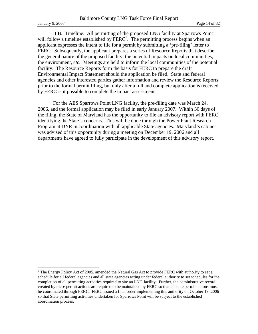$\overline{a}$ 

 II.B. Timeline. All permitting of the proposed LNG facility at Sparrows Point will follow a timeline established by FERC<sup>3</sup>. The permitting process begins when an applicant expresses the intent to file for a permit by submitting a 'pre-filing' letter to FERC. Subsequently, the applicant prepares a series of Resource Reports that describe the general nature of the proposed facility, the potential impacts on local communities, the environment, *etc.* Meetings are held to inform the local communities of the potential facility. The Resource Reports form the basis for FERC to prepare the draft Environmental Impact Statement should the application be filed. State and federal agencies and other interested parties gather information and review the Resource Reports prior to the formal permit filing, but only after a full and complete application is received by FERC is it possible to complete the impact assessment.

 For the AES Sparrows Point LNG facility, the pre-filing date was March 24, 2006, and the formal application may be filed in early January 2007. Within 30 days of the filing, the State of Maryland has the opportunity to file an advisory report with FERC identifying the State's concerns. This will be done through the Power Plant Research Program at DNR in coordination with all applicable State agencies. Maryland's cabinet was advised of this opportunity during a meeting on December 19, 2006 and all departments have agreed to fully participate in the development of this advisory report.

 $3$  The Energy Policy Act of 2005, amended the Natural Gas Act to provide FERC with authority to set a schedule for all federal agencies and all state agencies acting under federal authority to set schedules for the completion of all permitting activities required to site an LNG facility. Further, the administrative record created by these permit actions are required to be maintained by FERC so that all state permit actions must be coordinated through FERC. FERC issued a final order implementing this authority on October 19, 2006 so that State permitting activities undertaken for Sparrows Point will be subject to the established coordination process.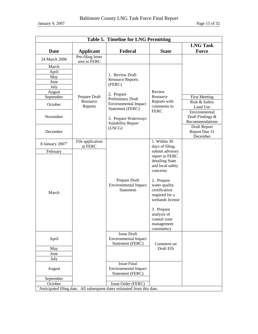January 9, 2007 Page 15 of 32

| <b>Table 5. Timeline for LNG Permitting</b> |                                   |                                                                                      |                                                                                    |                                                      |  |  |
|---------------------------------------------|-----------------------------------|--------------------------------------------------------------------------------------|------------------------------------------------------------------------------------|------------------------------------------------------|--|--|
|                                             | <b>LNG Task</b>                   |                                                                                      |                                                                                    |                                                      |  |  |
| <b>Date</b>                                 | <b>Applicant</b>                  | Federal                                                                              | <b>State</b>                                                                       | <b>Force</b>                                         |  |  |
| 24 March 2006                               | Pre-filing letter<br>sent to FERC |                                                                                      |                                                                                    |                                                      |  |  |
| March                                       |                                   |                                                                                      |                                                                                    |                                                      |  |  |
| April                                       |                                   | 1. Review Draft                                                                      |                                                                                    |                                                      |  |  |
| May                                         |                                   | <b>Resource Reports</b>                                                              |                                                                                    |                                                      |  |  |
| June                                        |                                   | (FERC)                                                                               |                                                                                    |                                                      |  |  |
| July                                        |                                   |                                                                                      |                                                                                    |                                                      |  |  |
| August                                      |                                   | 2, Prepare                                                                           | Review                                                                             |                                                      |  |  |
| September                                   | Prepare Draft                     | Preliminary Draft                                                                    | Resource                                                                           | <b>First Meeting</b>                                 |  |  |
| October                                     | Resource<br>Reports               | <b>Environmental Impact</b><br>Statement (FERC)                                      | Reports with<br>comments to                                                        | Risk & Safety<br>Land Use                            |  |  |
| November                                    |                                   | 3. Prepare Waterways<br><b>Suitability Report</b>                                    | <b>FERC</b>                                                                        | Environmental<br>Draft Findings &<br>Recommendations |  |  |
| December                                    |                                   | (USCG)                                                                               |                                                                                    | Draft Report<br>Report Due 31<br>December            |  |  |
| 8 January $20071$                           | File application<br>at FERC       |                                                                                      | 1. Within 30<br>days of filing,                                                    |                                                      |  |  |
| February                                    |                                   |                                                                                      | submit advisory                                                                    |                                                      |  |  |
|                                             |                                   |                                                                                      | report to FERC<br>detailing State<br>and local safety<br>concerns                  |                                                      |  |  |
| March                                       |                                   | Prepare Draft<br><b>Environmental Impact</b><br>Statement                            | 2. Prepare<br>water quality<br>certification<br>required for a<br>wetlands license |                                                      |  |  |
|                                             |                                   |                                                                                      | 3. Prepare<br>analysis of<br>coastal zone<br>management<br>consistency             |                                                      |  |  |
| April                                       |                                   | <b>Issue Draft</b><br><b>Environmental Impact</b><br>Statement (FERC)                | Comment on                                                                         |                                                      |  |  |
| May                                         |                                   |                                                                                      | Draft EIS                                                                          |                                                      |  |  |
| June                                        |                                   |                                                                                      |                                                                                    |                                                      |  |  |
| July                                        |                                   |                                                                                      |                                                                                    |                                                      |  |  |
| August                                      |                                   | <b>Issue Final</b><br><b>Environmental Impact</b><br>Statement (FERC)                |                                                                                    |                                                      |  |  |
| September                                   |                                   |                                                                                      |                                                                                    |                                                      |  |  |
| October                                     |                                   | Issue Order (FERC)                                                                   |                                                                                    |                                                      |  |  |
|                                             |                                   | <sup>1</sup> Anticipated filing date. All subsequent dates estimated from this date. |                                                                                    |                                                      |  |  |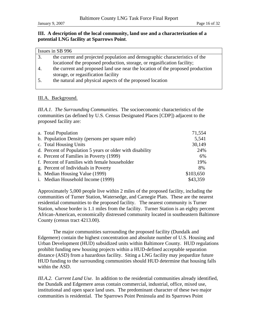# **III. A description of the local community, land use and a characterization of a potential LNG facility at Sparrows Point**.

|    | Issues in SB 996                                                               |
|----|--------------------------------------------------------------------------------|
| 3. | the current and projected population and demographic characteristics of the    |
|    | location of the proposed production, storage, or regasification facility;      |
| 4. | the current and proposed land use near the location of the proposed production |
|    | storage, or regasification facility                                            |
| 5. | the natural and physical aspects of the proposed location                      |
|    |                                                                                |

# III.A. Background.

*III.A.1. The Surrounding Communities.*The socioeconomic characteristics of the communities (as defined by U.S. Census Designated Places [CDP]) adjacent to the proposed facility are:

| a. Total Population                                       | 71,554    |
|-----------------------------------------------------------|-----------|
| b. Population Density (persons per square mile)           | 5,541     |
| c. Total Housing Units                                    | 30,149    |
| d. Percent of Population 5 years or older with disability | 24%       |
| e. Percent of Families in Poverty (1999)                  | 6%        |
| f. Percent of Families with female householder            | 19%       |
| g. Percent of Individuals in Poverty                      | 8%        |
| h. Median Housing Value (1999)                            | \$103,650 |
| i. Median Household Income (1999)                         | \$43,359  |

Approximately 5,000 people live within 2 miles of the proposed facility, including the communities of Turner Station, Watersedge, and Carnegie Plats. These are the nearest residential communities to the proposed facility. The nearest community is Turner Station, whose border is 1.1 miles from the facility. Turner Station is an eighty percent African-American, economically distressed community located in southeastern Baltimore County (census tract 4213.00).

 The major communities surrounding the proposed facility (Dundalk and Edgemere) contain the highest concentration and absolute number of U.S. Housing and Urban Development (HUD) subsidized units within Baltimore County. HUD regulations prohibit funding new housing projects within a HUD-defined acceptable separation distance (ASD) from a hazardous facility. Siting a LNG facility may jeopardize future HUD funding to the surrounding communities should HUD determine that housing falls within the ASD.

*III.A.2. Current Land Use.* In addition to the residential communities already identified, the Dundalk and Edgemere areas contain commercial, industrial, office, mixed use, institutional and open space land uses. The predominant character of these two major communities is residential. The Sparrows Point Peninsula and its Sparrows Point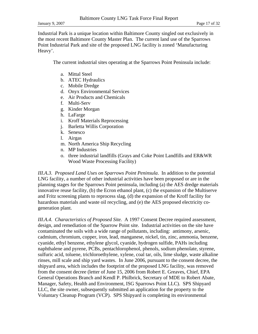Industrial Park is a unique location within Baltimore County singled out exclusively in the most recent Baltimore County Master Plan. The current land use of the Sparrows Point Industrial Park and site of the proposed LNG facility is zoned 'Manufacturing Heavy'.

The current industrial sites operating at the Sparrows Point Peninsula include:

- a. Mittal Steel
- b. ATEC Hydraulics
- c. Mobile Dredge
- d. Onyx Environmental Services
- e. Air Products and Chemicals
- f. Multi-Serv
- g. Kinder Morgan
- h. LaFarge
- i. Kroff Materials Reprocessing
- j. Barletta Willis Corporation
- k. Senesco
- l. Airgas
- m. North America Ship Recycling
- n. MP Industries
- o. three industrial landfills (Grays and Coke Point Landfills and ER&WR Wood Waste Processing Facility)

*III.A.3. Proposed Land Uses on Sparrows Point Peninsula*. In addition to the potential LNG facility, a number of other industrial activities have been proposed or are in the planning stages for the Sparrows Point peninsula, including (a) the AES dredge materials innovative reuse facility, (b) the Ecron ethanol plant, (c) the expansion of the Multiserve and Fritz screening plants to reprocess slag, (d) the expansion of the Kroff facility for hazardous materials and waste oil recycling, and (e) the AES proposed electricity cogeneration plant.

*III.A.4. Characteristics of Proposed Site.* A 1997 Consent Decree required assessment, design, and remediation of the Sparrow Point site. Industrial activities on the site have contaminated the soils with a wide range of pollutants, including: antimony, arsenic, cadmium, chromium, copper, iron, lead, manganese, nickel, tin, zinc, ammonia, benzene, cyanide, ethyl benzene, ethylene glycol, cyanide, hydrogen sulfide, PAHs including naphthalene and pyrene, PCBs, pentachlorophenol, phenols, sodium phenolate, styrene, sulfuric acid, toluene, trichloroethylene, xylene, coal tar, oils, lime sludge, waste alkaline rinses, mill scale and ship yard wastes. In June 2006, pursuant to the consent decree, the shipyard area, which includes the footprint of the proposed LNG facility, was removed from the consent decree (letter of June 15, 2006 from Robert E. Greaves, Chief, EPA General Operations Branch and Kendl P. Philbrick, Secretary of MDE to Robert Abate, Manager, Safety, Health and Environment, ISG Sparrows Point LLC). SPS Shipyard LLC, the site owner, subsequently submitted an application for the property to the Voluntary Cleanup Program (VCP). SPS Shipyard is completing its environmental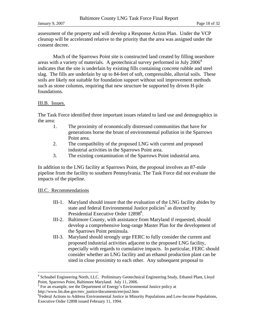assessment of the property and will develop a Response Action Plan. Under the VCP cleanup will be accelerated relative to the priority that the area was assigned under the consent decree.

 Much of the Sparrows Point site is constructed land created by filling nearshore areas with a variety of materials. A geotechnical survey performed in July  $2006<sup>4</sup>$ indicates that the site is underlain by existing fills containing concrete rubble and steel slag. The fills are underlain by up to 84-feet of soft, compressible, alluvial soils. These soils are likely not suitable for foundation support without soil improvement methods such as stone columns, requiring that new structure be supported by driven H-pile foundations.

# III.B. Issues.

The Task Force identified three important issues related to land use and demographics in the area:

- 1. The proximity of economically distressed communities that have for generations borne the brunt of environmental pollution in the Sparrows Point area.
- 2. The compatibility of the proposed LNG with current and proposed industrial activities in the Sparrows Point area.
- 3. The existing contamination of the Sparrows Point industrial area.

In addition to the LNG facility at Sparrows Point, the proposal involves an 87-mile pipeline from the facility to southern Pennsylvania. The Task Force did not evaluate the impacts of the pipeline.

# III.C. Recommendations

1

- III-1. Maryland should insure that the evaluation of the LNG facility abides by state and federal Environmental Justice policies<sup>5</sup> as directed by Presidential Executive Order 12898<sup>6</sup>.
- III-2. Baltimore County, with assistance from Maryland if requested, should develop a comprehensive long-range Master Plan for the development of the Sparrows Point peninsula.
- III-3. Maryland should strongly urge FERC to fully consider the current and proposed industrial activities adjacent to the proposed LNG facility, especially with regards to cumulative impacts. In particular, FERC should consider whether an LNG facility and an ethanol production plant can be sited in close proximity to each other. Any subsequent proposal to

<sup>&</sup>lt;sup>4</sup> Schnabel Engineering North, LLC. Preliminary Geotechnical Engineering Study, Ethanol Plant, Lloyd Point, Sparrows Point, Baltimore Maryland. July 11, 2006.

 $<sup>5</sup>$  For an example, see the Department of Energy's Environmental Justice policy at</sup> http://www.lm.doe.gov/env\_justice/documents/envjus2.htm

<sup>6</sup> Federal Actions to Address Environmental Justice in Minority Populations and Low-Income Populations, Executive Order 12898 issued February 11, 1994.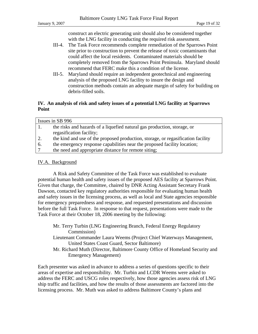construct an electric generating unit should also be considered together with the LNG facility in conducting the required risk assessment.

- III-4. The Task Force recommends complete remediation of the Sparrows Point site prior to construction to prevent the release of toxic contaminants that could affect the local residents. Contaminated materials should be completely removed from the Sparrows Point Peninsula. Maryland should recommend that FERC make this a condition of the license.
- III-5. Maryland should require an independent geotechnical and engineering analysis of the proposed LNG facility to insure the design and construction methods contain an adequate margin of safety for building on debris-filled soils.

# **IV. An analysis of risk and safety issues of a potential LNG facility at Sparrows Point**

|    | Issues in SB 996                                                                 |  |  |  |  |
|----|----------------------------------------------------------------------------------|--|--|--|--|
|    | the risks and hazards of a liquefied natural gas production, storage, or         |  |  |  |  |
|    | regasification facility;                                                         |  |  |  |  |
| 2. | the kind and use of the proposed production, storage, or regasification facility |  |  |  |  |
| 6. | the emergency response capabilities near the proposed facility location;         |  |  |  |  |
|    | the need and appropriate distance for remote siting;                             |  |  |  |  |
|    |                                                                                  |  |  |  |  |

# IV.A. Background

A Risk and Safety Committee of the Task Force was established to evaluate potential human health and safety issues of the proposed AES facility at Sparrows Point. Given that charge, the Committee, chaired by DNR Acting Assistant Secretary Frank Dawson, contacted key regulatory authorities responsible for evaluating human health and safety issues in the licensing process, as well as local and State agencies responsible for emergency preparedness and response, and requested presentations and discussion before the full Task Force. In response to that request, presentations were made to the Task Force at their October 18, 2006 meeting by the following:

|  |             | Mr. Terry Turbin (LNG Engineering Branch, Federal Energy Regulatory |  |  |
|--|-------------|---------------------------------------------------------------------|--|--|
|  | Commission) |                                                                     |  |  |

- Lieutenant Commander Laura Weems (Project Chief Waterways Management, United States Coast Guard, Sector Baltimore)
- Mr. Richard Muth (Director, Baltimore County Office of Homeland Security and Emergency Management)

Each presenter was asked in advance to address a series of questions specific to their areas of expertise and responsibility. Mr. Turbin and LCDR Weems were asked to address the FERC and USCG roles respectively, how those agencies assess risk of LNG ship traffic and facilities, and how the results of those assessments are factored into the licensing process. Mr. Muth was asked to address Baltimore County's plans and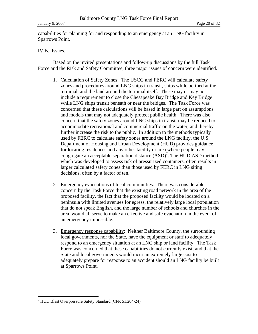capabilities for planning for and responding to an emergency at an LNG facility in Sparrows Point.

# IV.B. Issues.

Based on the invited presentations and follow-up discussions by the full Task Force and the Risk and Safety Committee, three major issues of concern were identified.

- 1. Calculation of Safety Zones: The USCG and FERC will calculate safety zones and procedures around LNG ships in transit, ships while berthed at the terminal, and the land around the terminal itself. These may or may not include a requirement to close the Chesapeake Bay Bridge and Key Bridge while LNG ships transit beneath or near the bridges. The Task Force was concerned that these calculations will be based in large part on assumptions and models that may not adequately protect public health. There was also concern that the safety zones around LNG ships in transit may be reduced to accommodate recreational and commercial traffic on the water, and thereby further increase the risk to the public. In addition to the methods typically used by FERC to calculate safety zones around the LNG facility, the U.S. Department of Housing and Urban Development (HUD) provides guidance for locating residences and any other facility or area where people may congregate an acceptable separation distance  $(ASD)^7$ . The  $\overline{HUD}$  ASD method, which was developed to assess risk of pressurized containers, often results in larger calculated safety zones than those used by FERC in LNG siting decisions, often by a factor of ten.
- 2. Emergency evacuations of local communities: There was considerable concern by the Task Force that the existing road network in the area of the proposed facility, the fact that the proposed facility would be located on a peninsula with limited avenues for egress, the relatively large local population that do not speak English, and the large number of schools and churches in the area, would all serve to make an effective and safe evacuation in the event of an emergency impossible.
- 3. Emergency response capability: Neither Baltimore County, the surrounding local governments, nor the State, have the equipment or staff to adequately respond to an emergency situation at an LNG ship or land facility. The Task Force was concerned that these capabilities do not currently exist, and that the State and local governments would incur an extremely large cost to adequately prepare for response to an accident should an LNG facility be built at Sparrows Point.

 $\overline{a}$ 

<sup>7</sup> HUD Blast Overpressure Safety Standard (CFR 51.204-24)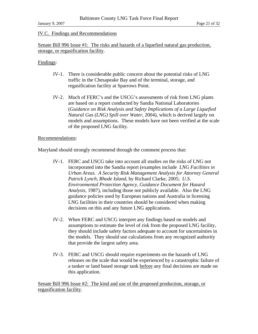# IV.C. Findings and Recommendations

Senate Bill 996 Issue #1: The risks and hazards of a liquefied natural gas production, storage, or regasification facility.

#### Findings:

- IV-1. There is considerable public concern about the potential risks of LNG traffic in the Chesapeake Bay and of the terminal, storage, and regasification facility at Sparrows Point.
- IV-2. Much of FERC's and the USCG's assessments of risk from LNG plants are based on a report conducted by Sandia National Laboratories (*Guidance on Risk Analysis and Safety Implications of a Large Liquefied Natural Gas (LNG) Spill over Water*, 2004), which is derived largely on models and assumptions. These models have not been verified at the scale of the proposed LNG facility.

# Recommendations:

Maryland should strongly recommend through the comment process that:

- IV-1. FERC and USCG take into account all studies on the risks of LNG not incorporated into the Sandia report (examples include *LNG Facilities in Urban Areas. A Security Risk Management Analysis for Attorney General Patrick Lynch, Rhode Island,* by Richard Clarke, 2005; *U.S. Environmental Protection Agency, Guidance Document for Hazard Analysis*, 1987), including those not publicly available. Also the LNG guidance policies used by European nations and Australia in licensing LNG facilities in their countries should be considered when making decisions on this and any future LNG applications.
- IV-2. When FERC and USCG interpret any findings based on models and assumptions to estimate the level of risk from the proposed LNG facility, they should include safety factors adequate to account for uncertainties in the models. They should use calculations from any recognized authority that provide the largest safety area.
- IV-3. FERC and USCG should require experiments on the hazards of LNG releases on the scale that would be experienced by a catastrophic failure of a tanker or land based storage tank before any final decisions are made on this application.

Senate Bill 996 Issue #2: The kind and use of the proposed production, storage, or regasification facility.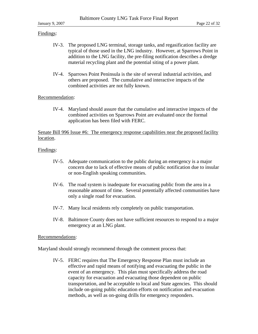# Findings:

- IV-3. The proposed LNG terminal, storage tanks, and regasification facility are typical of those used in the LNG industry. However, at Sparrows Point in addition to the LNG facility, the pre-filing notification describes a dredge material recycling plant and the potential siting of a power plant.
- IV-4. Sparrows Point Peninsula is the site of several industrial activities, and others are proposed. The cumulative and interactive impacts of the combined activities are not fully known.

# Recommendation:

IV-4. Maryland should assure that the cumulative and interactive impacts of the combined activities on Sparrows Point are evaluated once the formal application has been filed with FERC.

Senate Bill 996 Issue #6: The emergency response capabilities near the proposed facility location.

# Findings:

- IV-5. Adequate communication to the public during an emergency is a major concern due to lack of effective means of public notification due to insular or non-English speaking communities.
- IV-6. The road system is inadequate for evacuating public from the area in a reasonable amount of time. Several potentially affected communities have only a single road for evacuation.
- IV-7. Many local residents rely completely on public transportation.
- IV-8. Baltimore County does not have sufficient resources to respond to a major emergency at an LNG plant.

#### Recommendations:

Maryland should strongly recommend through the comment process that:

IV-5. FERC requires that The Emergency Response Plan must include an effective and rapid means of notifying and evacuating the public in the event of an emergency. This plan must specifically address the road capacity for evacuation and evacuating those dependent on public transportation, and be acceptable to local and State agencies. This should include on-going public education efforts on notification and evacuation methods, as well as on-going drills for emergency responders.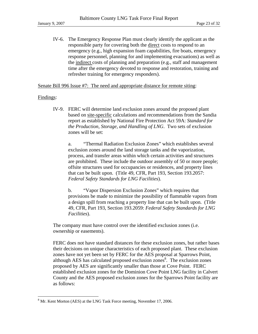IV-6. The Emergency Response Plan must clearly identify the applicant as the responsible party for covering both the direct costs to respond to an emergency (e.g., high expansion foam capabilities, fire boats, emergency response personnel, planning for and implementing evacuations) as well as the indirect costs of planning and preparation (e.g., staff and management time after the emergency devoted to response and restoration, training and refresher training for emergency responders).

Senate Bill 996 Issue #7: The need and appropriate distance for remote siting:

#### Findings:

 $\overline{a}$ 

IV-9. FERC will determine land exclusion zones around the proposed plant based on site-specific calculations and recommendations from the Sandia report as established by National Fire Protection Act 59A: *Standard for the Production, Storage, and Handling of LNG*. Two sets of exclusion zones will be set:

a. "Thermal Radiation Exclusion Zones" which establishes several exclusion zones around the land storage tanks and the vaporization, process, and transfer areas within which certain activities and structures are prohibited. These include the outdoor assembly of 50 or more people; offsite structures used for occupancies or residences, and property lines that can be built upon. (Title 49, CFR, Part 193, Section 193.2057: *Federal Safety Standards for LNG Facilities*).

b. "Vapor Dispersion Exclusion Zones" which requires that provisions be made to minimize the possibility of flammable vapors from a design spill from reaching a property line that can be built upon. (Title 49, CFR, Part 193, Section 193.2059: *Federal Safety Standards for LNG Facilities*).

The company must have control over the identified exclusion zones (i.e. ownership or easements).

FERC does not have standard distances for these exclusion zones, but rather bases their decisions on unique characteristics of each proposed plant. These exclusion zones have not yet been set by FERC for the AES proposal at Sparrows Point, although AES has calculated proposed exclusion zones $\frac{8}{3}$ . The exclusion zones proposed by AES are significantly smaller than those at Cove Point. FERC established exclusion zones for the Dominion Cove Point LNG facility in Calvert County and the AES proposed exclusion zones for the Sparrows Point facility are as follows:

 $8$  Mr. Kent Morton (AES) at the LNG Task Force meeting, November 17, 2006.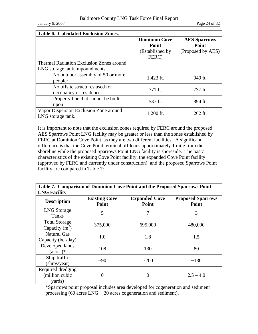January 9, 2007 Page 24 of 32

| <b>Table 6. Calculated Exclusion Zones.</b>     |                      |                     |  |  |  |  |
|-------------------------------------------------|----------------------|---------------------|--|--|--|--|
|                                                 | <b>Dominion Cove</b> | <b>AES Sparrows</b> |  |  |  |  |
|                                                 | Point                | Point               |  |  |  |  |
|                                                 | (Established by)     | (Proposed by AES)   |  |  |  |  |
|                                                 | FERC)                |                     |  |  |  |  |
| <b>Thermal Radiation Exclusion Zones around</b> |                      |                     |  |  |  |  |
| LNG storage tank impoundments                   |                      |                     |  |  |  |  |
| No outdoor assembly of 50 or more               | $1,423$ ft.          | 949 ft.             |  |  |  |  |
| people:                                         |                      |                     |  |  |  |  |
| No offsite structures used for                  | 771 ft.              | 737 ft.             |  |  |  |  |
| occupancy or residence:                         |                      |                     |  |  |  |  |
| Property line that cannot be built              | 537 ft.              | 394 ft.             |  |  |  |  |
| upon:                                           |                      |                     |  |  |  |  |
| Vapor Dispersion Exclusion Zone around          |                      |                     |  |  |  |  |
| LNG storage tank.                               | $1,200$ ft.          | $262$ ft.           |  |  |  |  |

It is important to note that the exclusion zones required by FERC around the proposed AES Sparrows Point LNG facility may be greater or less than the zones established by FERC at Dominion Cove Point, as they are two different facilities. A significant difference is that the Cove Point terminal off loads approximately 1 mile from the shoreline while the proposed Sparrows Point LNG facility is shoreside. The basic characteristics of the existing Cove Point facility, the expanded Cove Point facility (approved by FERC and currently under construction), and the proposed Sparrows Point facility are compared in Table 7:

| Table 7. Comparison of Dominion Cove Point and the Proposed Sparrows Point<br><b>LNG Facility</b> |                               |                               |                                   |  |  |
|---------------------------------------------------------------------------------------------------|-------------------------------|-------------------------------|-----------------------------------|--|--|
| <b>Description</b>                                                                                | <b>Existing Cove</b><br>Point | <b>Expanded Cove</b><br>Point | <b>Proposed Sparrows</b><br>Point |  |  |
| <b>LNG</b> Storage<br>Tanks                                                                       | 5                             | 7                             | 3                                 |  |  |
| <b>Total Storage</b><br>Capacity $(m^3)$                                                          | 375,000                       | 695,000                       | 480,000                           |  |  |
| <b>Natural Gas</b><br>Capacity (bcf/day)                                                          | 1.0                           | 1.8                           | 1.5                               |  |  |
| Developed lands<br>$(\text{acres})^*$                                                             | 108                           | 130                           | 80                                |  |  |
| Ship traffic<br>(ships/year)                                                                      | $\sim 90$                     | ~200                          | ~130                              |  |  |
| Required dredging<br>(million cubic<br>yards)                                                     | 0                             | $\Omega$                      | $2.5 - 4.0$                       |  |  |

\*Sparrows point proposal includes area developed for cogeneration and sediment processing (60 acres LNG + 20 acres cogeneration and sediment).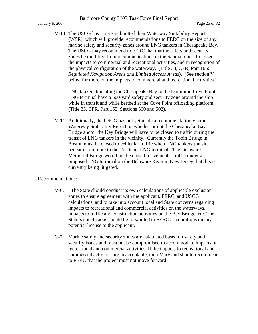IV-10. The USCG has not yet submitted their Waterway Suitability Report (WSR), which will provide recommendations to FERC on the size of any marine safety and security zones around LNG tankers in Chesapeake Bay. The USCG may recommend to FERC that marine safety and security zones be modified from recommendations in the Sandia report to lessen the impacts to commercial and recreational activities, and in recognition of the physical configuration of the waterway. (Title 33, CFR, Part 165: *Regulated Navigation Areas and Limited Access Areas*). (See section V below for more on the impacts to commercial and recreational activities.)

LNG tankers transiting the Chesapeake Bay to the Dominion Cove Point LNG terminal have a 500-yard safety and security zone around the ship while in transit and while berthed at the Cove Point offloading platform (Title 33, CFR, Part 165, Sections 500 and 502).

IV-11. Additionally, the USCG has not yet made a recommendation via the Waterway Suitability Report on whether or not the Chesapeake Bay Bridge and/or the Key Bridge will have to be closed to traffic during the transit of LNG tankers in the vicinity. Currently the Tobin Bridge in Boston must be closed to vehicular traffic when LNG tankers transit beneath it en route to the Tractebel LNG terminal. The Delaware Memorial Bridge would not be closed for vehicular traffic under a proposed LNG terminal on the Delaware River in New Jersey, but this is currently being litigated.

#### Recommendations:

- IV-6. The State should conduct its own calculations of applicable exclusion zones to ensure agreement with the applicant, FERC, and USCG calculations, and to take into account local and State concerns regarding impacts to recreational and commercial activities on the waterways, impacts to traffic and construction activities on the Bay Bridge, etc. The State's conclusions should be forwarded to FERC as conditions on any potential license to the applicant.
- IV-7. Marine safety and security zones are calculated based on safety and security issues and must not be compromised to accommodate impacts on recreational and commercial activities. If the impacts to recreational and commercial activities are unacceptable, then Maryland should recommend to FERC that the project must not move forward.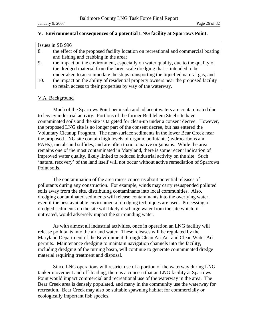# **V. Environmental consequences of a potential LNG facility at Sparrows Point.**

| Issues in SB 996 |                                                                                     |  |  |  |
|------------------|-------------------------------------------------------------------------------------|--|--|--|
| 8.               | the effect of the proposed facility location on recreational and commercial boating |  |  |  |
|                  | and fishing and crabbing in the area;                                               |  |  |  |
| 9.               | the impact on the environment, especially on water quality, due to the quality of   |  |  |  |
|                  | the dredged material from the large scale dredging that is intended to be           |  |  |  |
|                  | undertaken to accommodate the ships transporting the liquefied natural gas; and     |  |  |  |
| 10.              | the impact on the ability of residential property owners near the proposed facility |  |  |  |
|                  | to retain access to their properties by way of the waterway.                        |  |  |  |

# V.A. Background

 Much of the Sparrows Point peninsula and adjacent waters are contaminated due to legacy industrial activity. Portions of the former Bethlehem Steel site have contaminated soils and the site is targeted for clean-up under a consent decree. However, the proposed LNG site is no longer part of the consent decree, but has entered the Voluntary Cleanup Program. The near-surface sediments in the lower Bear Creek near the proposed LNG site contain high levels of organic pollutants (hydrocarbons and PAHs), metals and sulfides, and are often toxic to native organisms. While the area remains one of the most contaminated in Maryland, there is some recent indication of improved water quality, likely linked to reduced industrial activity on the site. Such 'natural recovery' of the land itself will not occur without active remediation of Sparrows Point soils.

 The contamination of the area raises concerns about potential releases of pollutants during any construction. For example, winds may carry resuspended polluted soils away from the site, distributing contaminants into local communities. Also, dredging contaminated sediments will release contaminants into the overlying water, even if the best available environmental dredging techniques are used. Processing of dredged sediments on the site will likely discharge water from the site which, if untreated, would adversely impact the surrounding water.

 As with almost all industrial activities, once in operation an LNG facility will release pollutants into the air and water. These releases will be regulated by the Maryland Department of the Environment through Clean Air Act and Clean Water Act permits. Maintenance dredging to maintain navigation channels into the facility, including dredging of the turning basin, will continue to generate contaminated dredge material requiring treatment and disposal.

 Since LNG operations will restrict use of a portion of the waterway during LNG tanker movement and off-loading, there is a concern that an LNG facility at Sparrows Point would impact commercial and recreational use of the waterway in the area. The Bear Creek area is densely populated, and many in the community use the waterway for recreation. Bear Creek may also be suitable spawning habitat for commercially or ecologically important fish species.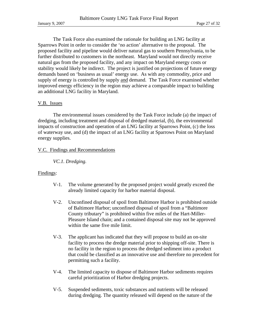The Task Force also examined the rationale for building an LNG facility at Sparrows Point in order to consider the 'no action' alternative to the proposal. The proposed facility and pipeline would deliver natural gas to southern Pennsylvania, to be further distributed to customers in the northeast. Maryland would not directly receive natural gas from the proposed facility, and any impact on Maryland energy costs or stability would likely be indirect. The project is justified on projections of future energy demands based on 'business as usual' energy use. As with any commodity, price and supply of energy is controlled by supply and demand. The Task Force examined whether improved energy efficiency in the region may achieve a comparable impact to building an additional LNG facility in Maryland.

#### V.B. Issues

 The environmental issues considered by the Task Force include (a) the impact of dredging, including treatment and disposal of dredged material, (b), the environmental impacts of construction and operation of an LNG facility at Sparrows Point, (c) the loss of waterway use, and (d) the impact of an LNG facility at Sparrows Point on Maryland energy supplies.

#### V.C. Findings and Recommendations

#### *VC.1. Dredging.*

#### Findings:

- V-1. The volume generated by the proposed project would greatly exceed the already limited capacity for harbor material disposal.
- V-2. Unconfined disposal of spoil from Baltimore Harbor is prohibited outside of Baltimore Harbor; unconfined disposal of spoil from a "Baltimore County tributary" is prohibited within five miles of the Hart-Miller-Pleasure Island chain; and a contained disposal site may not be approved within the same five mile limit.
- V-3. The applicant has indicated that they will propose to build an on-site facility to process the dredge material prior to shipping off-site. There is no facility in the region to process the dredged sediment into a product that could be classified as an innovative use and therefore no precedent for permitting such a facility.
- V-4. The limited capacity to dispose of Baltimore Harbor sediments requires careful prioritization of Harbor dredging projects.
- V-5. Suspended sediments, toxic substances and nutrients will be released during dredging. The quantity released will depend on the nature of the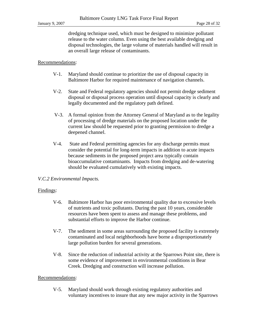dredging technique used, which must be designed to minimize pollutant release to the water column. Even using the best available dredging and disposal technologies, the large volume of materials handled will result in an overall large release of contaminants.

#### Recommendations:

- V-1. Maryland should continue to prioritize the use of disposal capacity in Baltimore Harbor for required maintenance of navigation channels.
- V-2. State and Federal regulatory agencies should not permit dredge sediment disposal or disposal process operation until disposal capacity is clearly and legally documented and the regulatory path defined.
- V-3. A formal opinion from the Attorney General of Maryland as to the legality of processing of dredge materials on the proposed location under the current law should be requested prior to granting permission to dredge a deepened channel.
- V-4. State and Federal permitting agencies for any discharge permits must consider the potential for long-term impacts in addition to acute impacts because sediments in the proposed project area typically contain bioaccumulative contaminants. Impacts from dredging and de-watering should be evaluated cumulatively with existing impacts.

#### *V.C.2 Environmental Impacts.*

#### Findings:

- V-6. Baltimore Harbor has poor environmental quality due to excessive levels of nutrients and toxic pollutants. During the past 10 years, considerable resources have been spent to assess and manage these problems, and substantial efforts to improve the Harbor continue.
- V-7. The sediment in some areas surrounding the proposed facility is extremely contaminated and local neighborhoods have borne a disproportionately large pollution burden for several generations.
- V-8. Since the reduction of industrial activity at the Sparrows Point site, there is some evidence of improvement in environmental conditions in Bear Creek. Dredging and construction will increase pollution.

#### Recommendations:

V-5. Maryland should work through existing regulatory authorities and voluntary incentives to insure that any new major activity in the Sparrows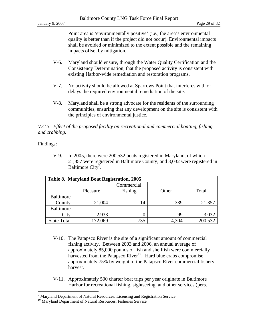Point area is 'environmentally positive' (i.e., the area's environmental quality is better than if the project did not occur). Environmental impacts shall be avoided or minimized to the extent possible and the remaining impacts offset by mitigation.

- V-6. Maryland should ensure, through the Water Quality Certification and the Consistency Determination, that the proposed activity is consistent with existing Harbor-wide remediation and restoration programs.
- V-7. No activity should be allowed at Sparrows Point that interferes with or delays the required environmental remediation of the site.
- V-8. Maryland shall be a strong advocate for the residents of the surrounding communities, ensuring that any development on the site is consistent with the principles of environmental justice.

*V.C.3. Effect of the proposed facility on recreational and commercial boating, fishing and crabbing.* 

# Findings:

 $\overline{a}$ 

V-9. In 2005, there were 200,532 boats registered in Maryland, of which 21,357 were registered in Baltimore County, and 3,032 were registered in Baltimore City<sup>9</sup>.

| Table 8. Maryland Boat Registration, 2005 |          |            |       |         |  |  |
|-------------------------------------------|----------|------------|-------|---------|--|--|
|                                           |          | Commercial |       |         |  |  |
|                                           | Pleasure | Fishing    | Other | Total   |  |  |
| <b>Baltimore</b>                          |          |            |       |         |  |  |
| County                                    | 21,004   | 14         | 339   | 21,357  |  |  |
| Baltimore                                 |          |            |       |         |  |  |
| City                                      | 2,933    |            | 99    | 3,032   |  |  |
| <b>State Total</b>                        | 172,069  | 735        | 4,304 | 200,532 |  |  |

- V-10. The Patapsco River is the site of a significant amount of commercial fishing activity. Between 2003 and 2006, an annual average of approximately 85,000 pounds of fish and shellfish were commercially harvested from the Patapsco River<sup>10</sup>. Hard blue crabs compromise approximately 75% by weight of the Patapsco River commercial fishery harvest.
- V-11. Approximately 500 charter boat trips per year originate in Baltimore Harbor for recreational fishing, sightseeing, and other services (pers.

<sup>&</sup>lt;sup>9</sup> Maryland Department of Natural Resources, Licensing and Registration Service

<sup>&</sup>lt;sup>10</sup> Maryland Department of Natural Resources, Fisheries Service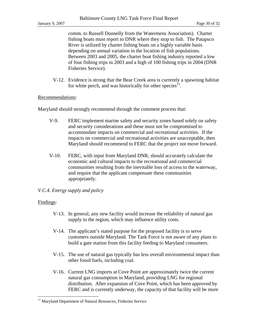comm. to Russell Donnelly from the Watermens Association). Charter fishing boats must report to DNR where they stop to fish. The Patapsco River is utilized by charter fishing boats on a highly variable basis depending on annual variation in the location of fish populations. Between 2003 and 2005, the charter boat fishing industry reported a low of four fishing trips in 2003 and a high of 100 fishing trips in 2004 (DNR Fisheries Service).

V-12. Evidence is strong that the Bear Creek area is currently a spawning habitat for white perch, and was historically for other species $11$ .

## Recommendations:

Maryland should strongly recommend through the comment process that:

- V-9. FERC implement marine safety and security zones based solely on safety and security considerations and these must not be compromised to accommodate impacts on commercial and recreational activities. If the impacts on commercial and recreational activities are unacceptable, then Maryland should recommend to FERC that the project not move forward.
- V-10. FERC, with input from Maryland DNR, should accurately calculate the economic and cultural impacts to the recreational and commercial communities resulting from the inevitable loss of access to the waterway, and require that the applicant compensate these communities appropriately.

#### *V.C.4. Energy supply and policy*

#### Findings:

<u>.</u>

- V-13. In general, any new facility would increase the reliability of natural gas supply to the region, which may influence utility costs.
- V-14. The applicant's stated purpose for the proposed facility is to serve customers outside Maryland. The Task Force is not aware of any plans to build a gate station from this facility feeding to Maryland consumers.
- V-15. The use of natural gas typically has less overall environmental impact than other fossil fuels, including coal.
- V-16. Current LNG imports at Cove Point are approximately twice the current natural gas consumption in Maryland, providing LNG for regional distribution. After expansion of Cove Point, which has been approved by FERC and is currently underway, the capacity of that facility will be more

<sup>&</sup>lt;sup>11</sup> Maryland Department of Natural Resources, Fisheries Service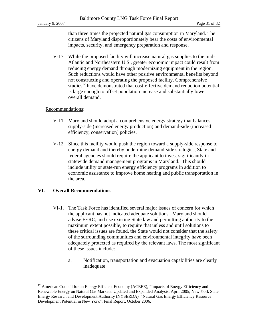than three times the projected natural gas consumption in Maryland. The citizens of Maryland disproportionately bear the costs of environmental impacts, security, and emergency preparation and response.

V-17. While the proposed facility will increase natural gas supplies to the mid-Atlantic and Northeastern U.S., greater economic impact could result from reducing energy demand through modernizing equipment in the region. Such reductions would have other positive environmental benefits beyond not constructing and operating the proposed facility. Comprehensive studies<sup>12</sup> have demonstrated that cost-effective demand reduction potential is large enough to offset population increase and substantially lower overall demand.

# Recommendations:

- V-11. Maryland should adopt a comprehensive energy strategy that balances supply-side (increased energy production) and demand-side (increased efficiency, conservation) policies.
- V-12. Since this facility would push the region toward a supply-side response to energy demand and thereby undermine demand-side strategies, State and federal agencies should require the applicant to invest significantly in statewide demand management programs in Maryland. This should include utility or state-run energy efficiency programs in addition to economic assistance to improve home heating and public transportation in the area.

# **VI. Overall Recommendations**

 $\overline{a}$ 

- VI-1. The Task Force has identified several major issues of concern for which the applicant has not indicated adequate solutions. Maryland should advise FERC, and use existing State law and permitting authority to the maximum extent possible, to require that unless and until solutions to these critical issues are found, the State would not consider that the safety of the surrounding communities and environmental integrity have been adequately protected as required by the relevant laws. The most significant of these issues include:
	- a. Notification, transportation and evacuation capabilities are clearly inadequate.

 $12$  American Council for an Energy Efficient Economy (ACEEE), "Impacts of Energy Efficiency and Renewable Energy on Natural Gas Markets: Updated and Expanded Analysis: April 2005; New York State Energy Research and Development Authority (NYSERDA) "Natural Gas Energy Efficiency Resource Development Potential in New York", Final Report, October 2006.